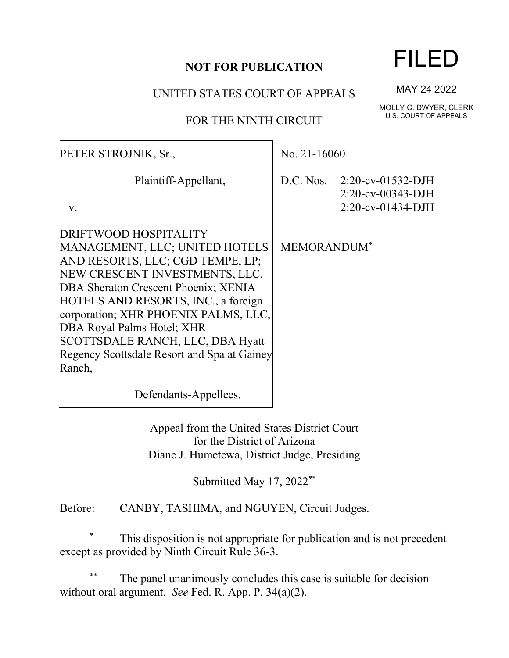## **NOT FOR PUBLICATION**

UNITED STATES COURT OF APPEALS

## FOR THE NINTH CIRCUIT

| PETER STROJNIK, Sr.,                                                                                                                                                                                                                                                                                                                                                            | No. $21-16060$                 |                                                                                |
|---------------------------------------------------------------------------------------------------------------------------------------------------------------------------------------------------------------------------------------------------------------------------------------------------------------------------------------------------------------------------------|--------------------------------|--------------------------------------------------------------------------------|
| Plaintiff-Appellant,<br>V.                                                                                                                                                                                                                                                                                                                                                      |                                | D.C. Nos. $2:20$ -cv-01532-DJH<br>$2:20$ -cv-00343-DJH<br>$2:20$ -cv-01434-DJH |
| DRIFTWOOD HOSPITALITY<br>MANAGEMENT, LLC; UNITED HOTELS<br>AND RESORTS, LLC; CGD TEMPE, LP;<br>NEW CRESCENT INVESTMENTS, LLC,<br>DBA Sheraton Crescent Phoenix; XENIA<br>HOTELS AND RESORTS, INC., a foreign<br>corporation; XHR PHOENIX PALMS, LLC,<br>DBA Royal Palms Hotel; XHR<br>SCOTTSDALE RANCH, LLC, DBA Hyatt<br>Regency Scottsdale Resort and Spa at Gainey<br>Ranch, | <b>MEMORANDUM</b> <sup>*</sup> |                                                                                |
| Defendants-Appellees.                                                                                                                                                                                                                                                                                                                                                           |                                |                                                                                |

Appeal from the United States District Court for the District of Arizona Diane J. Humetewa, District Judge, Presiding

Submitted May 17, 2022<sup>\*\*</sup>

Before: CANBY, TASHIMA, and NGUYEN, Circuit Judges.

\* This disposition is not appropriate for publication and is not precedent except as provided by Ninth Circuit Rule 36-3.

The panel unanimously concludes this case is suitable for decision without oral argument. *See* Fed. R. App. P. 34(a)(2).

MAY 24 2022

MOLLY C. DWYER, CLERK U.S. COURT OF APPEALS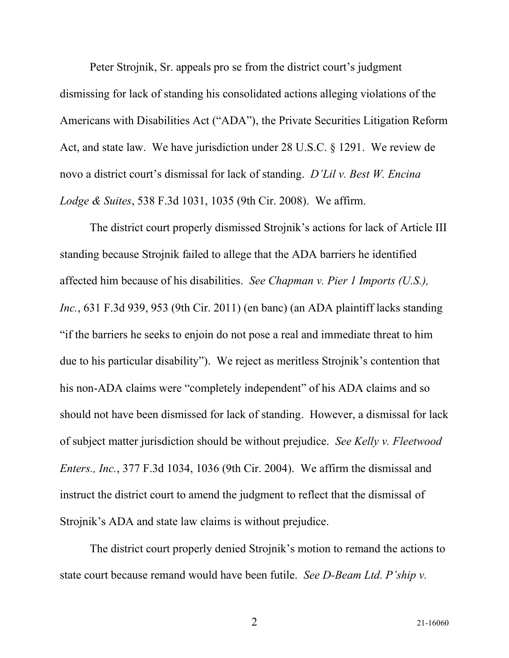Peter Strojnik, Sr. appeals pro se from the district court's judgment dismissing for lack of standing his consolidated actions alleging violations of the Americans with Disabilities Act ("ADA"), the Private Securities Litigation Reform Act, and state law. We have jurisdiction under 28 U.S.C. § 1291. We review de novo a district court's dismissal for lack of standing. *D'Lil v. Best W. Encina Lodge & Suites*, 538 F.3d 1031, 1035 (9th Cir. 2008). We affirm.

The district court properly dismissed Strojnik's actions for lack of Article III standing because Strojnik failed to allege that the ADA barriers he identified affected him because of his disabilities. *See Chapman v. Pier 1 Imports (U.S.), Inc.*, 631 F.3d 939, 953 (9th Cir. 2011) (en banc) (an ADA plaintiff lacks standing "if the barriers he seeks to enjoin do not pose a real and immediate threat to him due to his particular disability"). We reject as meritless Strojnik's contention that his non-ADA claims were "completely independent" of his ADA claims and so should not have been dismissed for lack of standing. However, a dismissal for lack of subject matter jurisdiction should be without prejudice. *See Kelly v. Fleetwood Enters., Inc.*, 377 F.3d 1034, 1036 (9th Cir. 2004). We affirm the dismissal and instruct the district court to amend the judgment to reflect that the dismissal of Strojnik's ADA and state law claims is without prejudice.

The district court properly denied Strojnik's motion to remand the actions to state court because remand would have been futile. *See D-Beam Ltd. P'ship v.*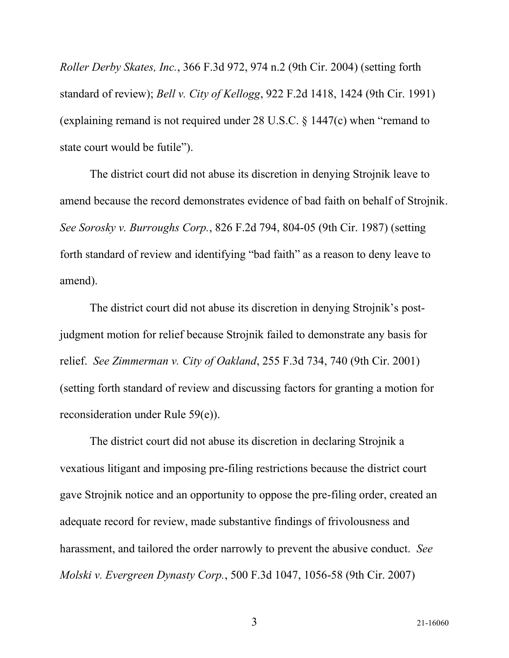*Roller Derby Skates, Inc.*, 366 F.3d 972, 974 n.2 (9th Cir. 2004) (setting forth standard of review); *Bell v. City of Kellogg*, 922 F.2d 1418, 1424 (9th Cir. 1991) (explaining remand is not required under 28 U.S.C. § 1447(c) when "remand to state court would be futile").

The district court did not abuse its discretion in denying Strojnik leave to amend because the record demonstrates evidence of bad faith on behalf of Strojnik. *See Sorosky v. Burroughs Corp.*, 826 F.2d 794, 804-05 (9th Cir. 1987) (setting forth standard of review and identifying "bad faith" as a reason to deny leave to amend).

The district court did not abuse its discretion in denying Strojnik's postjudgment motion for relief because Strojnik failed to demonstrate any basis for relief. *See Zimmerman v. City of Oakland*, 255 F.3d 734, 740 (9th Cir. 2001) (setting forth standard of review and discussing factors for granting a motion for reconsideration under Rule 59(e)).

The district court did not abuse its discretion in declaring Strojnik a vexatious litigant and imposing pre-filing restrictions because the district court gave Strojnik notice and an opportunity to oppose the pre-filing order, created an adequate record for review, made substantive findings of frivolousness and harassment, and tailored the order narrowly to prevent the abusive conduct. *See Molski v. Evergreen Dynasty Corp.*, 500 F.3d 1047, 1056-58 (9th Cir. 2007)